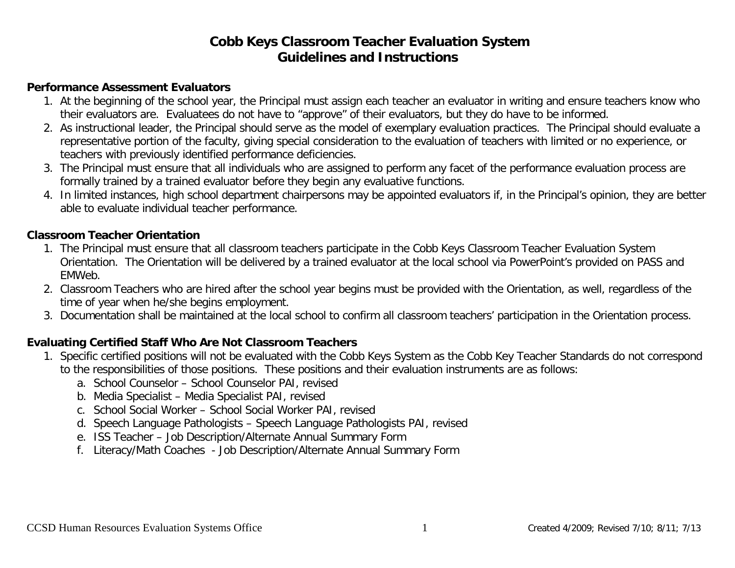#### **Performance Assessment Evaluators**

- 1. At the beginning of the school year, the Principal must assign each teacher an evaluator in writing and ensure teachers know who their evaluators are. Evaluatees do not have to "approve" of their evaluators, but they do have to be informed.
- 2. As instructional leader, the Principal should serve as the model of exemplary evaluation practices. The Principal should evaluate a representative portion of the faculty, giving special consideration to the evaluation of teachers with limited or no experience, or teachers with previously identified performance deficiencies.
- 3. The Principal must ensure that all individuals who are assigned to perform any facet of the performance evaluation process are formally trained by a trained evaluator before they begin any evaluative functions.
- 4. In limited instances, high school department chairpersons may be appointed evaluators if, in the Principal's opinion, they are better able to evaluate individual teacher performance.

### **Classroom Teacher Orientation**

- 1. The Principal must ensure that all classroom teachers participate in the Cobb Keys Classroom Teacher Evaluation System Orientation. The Orientation will be delivered by a trained evaluator at the local school via PowerPoint's provided on PASS and EMWeb.
- 2. Classroom Teachers who are hired after the school year begins must be provided with the Orientation, as well, regardless of the time of year when he/she begins employment.
- 3. Documentation shall be maintained at the local school to confirm all classroom teachers' participation in the Orientation process.

### **Evaluating Certified Staff Who Are Not Classroom Teachers**

- 1. Specific certified positions will not be evaluated with the Cobb Keys System as the Cobb Key Teacher Standards do not correspond to the responsibilities of those positions. These positions and their evaluation instruments are as follows:
	- a. School Counselor School Counselor PAI, revised
	- b. Media Specialist Media Specialist PAI, revised
	- c. School Social Worker School Social Worker PAI, revised
	- d. Speech Language Pathologists Speech Language Pathologists PAI, revised
	- e. ISS Teacher Job Description/Alternate Annual Summary Form
	- f. Literacy/Math Coaches Job Description/Alternate Annual Summary Form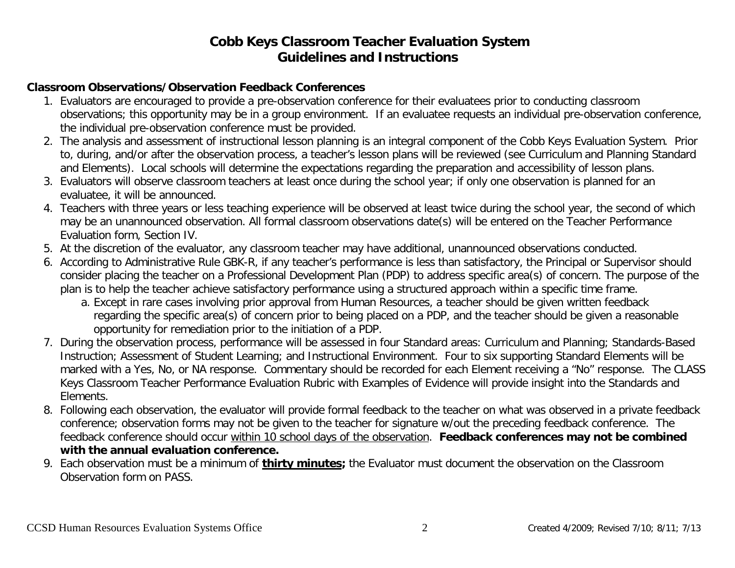### **Classroom Observations/Observation Feedback Conferences**

- 1. Evaluators are encouraged to provide a pre-observation conference for their evaluatees prior to conducting classroom observations; this opportunity may be in a group environment. If an evaluatee requests an individual pre-observation conference, the individual pre-observation conference must be provided.
- 2. The analysis and assessment of instructional lesson planning is an integral component of the Cobb Keys Evaluation System. Prior to, during, and/or after the observation process, a teacher's lesson plans will be reviewed (see Curriculum and Planning Standard and Elements). Local schools will determine the expectations regarding the preparation and accessibility of lesson plans.
- 3. Evaluators will observe classroom teachers at least once during the school year; if only one observation is planned for an evaluatee, it will be announced.
- 4. Teachers with three years or less teaching experience will be observed at least twice during the school year, the second of which may be an unannounced observation. All formal classroom observations date(s) will be entered on the Teacher Performance Evaluation form, Section IV.
- 5. At the discretion of the evaluator, any classroom teacher may have additional, unannounced observations conducted.
- 6. According to Administrative Rule GBK-R, if any teacher's performance is less than satisfactory, the Principal or Supervisor should consider placing the teacher on a Professional Development Plan (PDP) to address specific area(s) of concern. The purpose of the plan is to help the teacher achieve satisfactory performance using a structured approach within a specific time frame.
	- a. Except in rare cases involving prior approval from Human Resources, a teacher should be given written feedback regarding the specific area(s) of concern prior to being placed on a PDP, and the teacher should be given a reasonable opportunity for remediation prior to the initiation of a PDP.
- 7. During the observation process, performance will be assessed in four Standard areas: Curriculum and Planning; Standards-Based Instruction; Assessment of Student Learning; and Instructional Environment. Four to six supporting Standard Elements will be marked with a Yes, No, or NA response. Commentary should be recorded for each Element receiving a "No" response. The CLASS Keys Classroom Teacher Performance Evaluation Rubric with Examples of Evidence will provide insight into the Standards and Elements.
- 8. Following each observation, the evaluator will provide formal feedback to the teacher on what was observed in a private feedback conference; observation forms may not be given to the teacher for signature w/out the preceding feedback conference. The feedback conference should occur within 10 school days of the observation. **Feedback conferences may not be combined with the annual evaluation conference.**
- 9. Each observation must be a minimum of **thirty minutes;** the Evaluator must document the observation on the Classroom Observation form on PASS.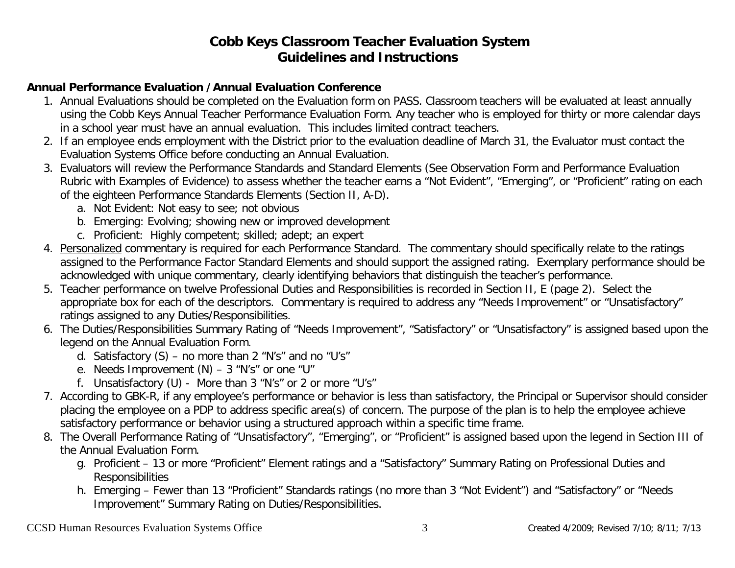### **Annual Performance Evaluation /Annual Evaluation Conference**

- 1. Annual Evaluations should be completed on the Evaluation form on PASS. Classroom teachers will be evaluated at least annually using the Cobb Keys Annual Teacher Performance Evaluation Form. Any teacher who is employed for thirty or more calendar days in a school year must have an annual evaluation. This includes limited contract teachers.
- 2. If an employee ends employment with the District prior to the evaluation deadline of March 31, the Evaluator must contact the Evaluation Systems Office before conducting an Annual Evaluation.
- 3. Evaluators will review the Performance Standards and Standard Elements (See Observation Form and Performance Evaluation Rubric with Examples of Evidence) to assess whether the teacher earns a "Not Evident", "Emerging", or "Proficient" rating on each of the eighteen Performance Standards Elements (Section II, A-D).
	- a. Not Evident: Not easy to see; not obvious
	- b. Emerging: Evolving; showing new or improved development
	- c. Proficient: Highly competent; skilled; adept; an expert
- 4. Personalized commentary is required for each Performance Standard. The commentary should specifically relate to the ratings assigned to the Performance Factor Standard Elements and should support the assigned rating. Exemplary performance should be acknowledged with unique commentary, clearly identifying behaviors that distinguish the teacher's performance.
- 5. Teacher performance on twelve Professional Duties and Responsibilities is recorded in Section II, E (page 2). Select the appropriate box for each of the descriptors. Commentary is required to address any "Needs Improvement" or "Unsatisfactory" ratings assigned to any Duties/Responsibilities.
- 6. The Duties/Responsibilities Summary Rating of "Needs Improvement", "Satisfactory" or "Unsatisfactory" is assigned based upon the legend on the Annual Evaluation Form.
	- d. Satisfactory  $(S)$  no more than 2 "N's" and no "U's"
	- e. Needs Improvement (N) 3 "N's" or one "U"
	- f. Unsatisfactory (U) More than 3 "N's" or 2 or more "U's"
- 7. According to GBK-R, if any employee's performance or behavior is less than satisfactory, the Principal or Supervisor should consider placing the employee on a PDP to address specific area(s) of concern. The purpose of the plan is to help the employee achieve satisfactory performance or behavior using a structured approach within a specific time frame.
- 8. The Overall Performance Rating of "Unsatisfactory", "Emerging", or "Proficient" is assigned based upon the legend in Section III of the Annual Evaluation Form.
	- g. Proficient 13 or more "Proficient" Element ratings and a "Satisfactory" Summary Rating on Professional Duties and Responsibilities
	- h. Emerging Fewer than 13 "Proficient" Standards ratings (no more than 3 "Not Evident") and "Satisfactory" or "Needs Improvement" Summary Rating on Duties/Responsibilities.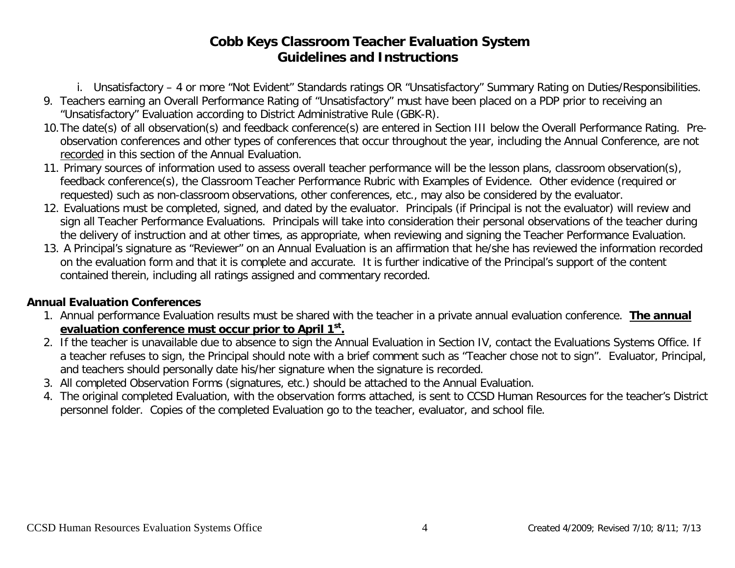i. Unsatisfactory – 4 or more "Not Evident" Standards ratings OR "Unsatisfactory" Summary Rating on Duties/Responsibilities.

- 9. Teachers earning an Overall Performance Rating of "Unsatisfactory" must have been placed on a PDP prior to receiving an "Unsatisfactory" Evaluation according to District Administrative Rule (GBK-R).
- 10.The date(s) of all observation(s) and feedback conference(s) are entered in Section III below the Overall Performance Rating. Preobservation conferences and other types of conferences that occur throughout the year, including the Annual Conference, are not recorded in this section of the Annual Evaluation.
- 11. Primary sources of information used to assess overall teacher performance will be the lesson plans, classroom observation(s), feedback conference(s), the Classroom Teacher Performance Rubric with Examples of Evidence. Other evidence (required or requested) such as non-classroom observations, other conferences, etc., may also be considered by the evaluator.
- 12. Evaluations must be completed, signed, and dated by the evaluator. Principals (if Principal is not the evaluator) will review and sign all Teacher Performance Evaluations. Principals will take into consideration their personal observations of the teacher during the delivery of instruction and at other times, as appropriate, when reviewing and signing the Teacher Performance Evaluation.
- 13. A Principal's signature as "Reviewer" on an Annual Evaluation is an affirmation that he/she has reviewed the information recorded on the evaluation form and that it is complete and accurate. It is further indicative of the Principal's support of the content contained therein, including all ratings assigned and commentary recorded.

## **Annual Evaluation Conferences**

- 1. Annual performance Evaluation results must be shared with the teacher in a private annual evaluation conference. **The annual evaluation conference must occur prior to April 1st.**
- 2. If the teacher is unavailable due to absence to sign the Annual Evaluation in Section IV, contact the Evaluations Systems Office. If a teacher refuses to sign, the Principal should note with a brief comment such as "Teacher chose not to sign". Evaluator, Principal, and teachers should personally date his/her signature when the signature is recorded.
- 3. All completed Observation Forms (signatures, etc.) should be attached to the Annual Evaluation.
- 4. The original completed Evaluation, with the observation forms attached, is sent to CCSD Human Resources for the teacher's District personnel folder. Copies of the completed Evaluation go to the teacher, evaluator, and school file.